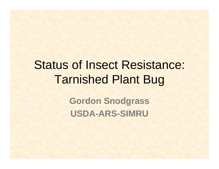## Status of Insect Resistance: Tarnished Plant Bug

**Gordon Snodgrass USDA-ARS-SIMRU**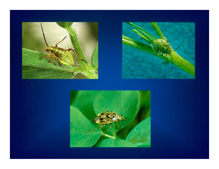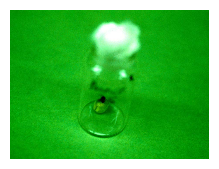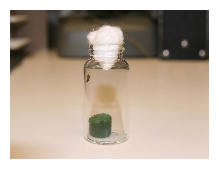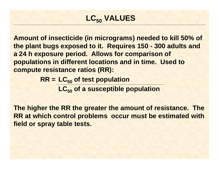#### **LC50 VALUES**

**Amount of insecticide (in micrograms) needed to kill 50% of the plant bugs exposed to it. Requires 150 - 300 adults and a 24 h i d All f i f h exposure period. Allows for comparison of populations in different locations and in time. Used to compute resistance ratios (RR):** 

**RR = LC50 of test population**

 $\mathsf{LC}_{50}$  of a susceptible population

**The higher the RR the greater the amount of resistance. The RR at which control problems occur must be estimated with field or spray table tests.**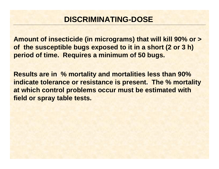#### **DISCRIMINATING-DOSE**

**Amount of insecticide (in micrograms) that will kill 90% or > of the susceptible bugs exposed to it in a short (2 or 3 h) period of time. Requires a minimum of 50 bugs.** 

**Results are in % mortality and mortalities less than 90% mortalities indicate tolerance or resistance is present. The % mortality at which control problems occur must be estimated with field or spray table tests.**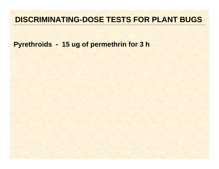#### **DISCRIMINATING-DOSE TESTS FOR PLANT BUGS**

Pyrethroids - 15 ug of permethrin for 3 h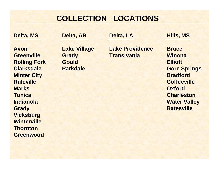#### **COLLECTION LOCATIONS**

| <b>Delta, MS</b>                                                                                                                                                                                                                                         | Delta, AR                                                              | Delta, LA                                    | <b>Hills, MS</b>                                                                                                                                                                           |
|----------------------------------------------------------------------------------------------------------------------------------------------------------------------------------------------------------------------------------------------------------|------------------------------------------------------------------------|----------------------------------------------|--------------------------------------------------------------------------------------------------------------------------------------------------------------------------------------------|
| <b>Avon</b><br><b>Greenville</b><br><b>Rolling Fork</b><br><b>Clarksdale</b><br><b>Minter City</b><br><b>Ruleville</b><br><b>Marks</b><br><b>Tunica</b><br><b>Indianola</b><br><b>Grady</b><br><b>Vicksburg</b><br><b>Winterville</b><br><b>Thornton</b> | <b>Lake Village</b><br><b>Grady</b><br><b>Gould</b><br><b>Parkdale</b> | <b>Lake Providence</b><br><b>TransIvania</b> | <b>Bruce</b><br>Winona<br><b>Elliott</b><br><b>Gore Springs</b><br><b>Bradford</b><br><b>Coffeeville</b><br><b>Oxford</b><br><b>Charleston</b><br><b>Water Valley</b><br><b>Batesville</b> |
| <b>Greenwood</b>                                                                                                                                                                                                                                         |                                                                        |                                              |                                                                                                                                                                                            |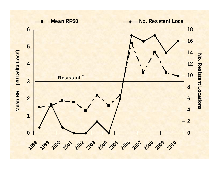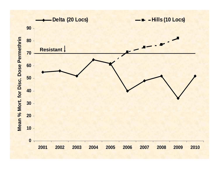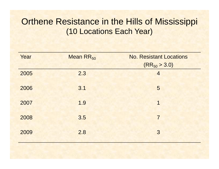#### Orthene Resistance in the Hills of Mississippi (10 Locations Each Year)

| Year | Mean RR <sub>50</sub> | <b>No. Resistant Locations</b><br>$(RR_{50} > 3.0)$ |
|------|-----------------------|-----------------------------------------------------|
| 2005 | 23                    | $\overline{4}$                                      |
| 2006 | 3.1                   | 5                                                   |
| 2007 | 1.9                   | 1                                                   |
| 2008 | 3.5                   | $\overline{7}$                                      |
| 2009 | 2.8                   | 3                                                   |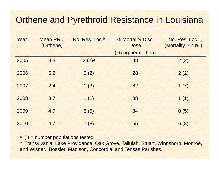### Orthene and Pyrethroid Resistance in Louisiana

| Year | Mean $RR_{50}$<br>(Orthene) | No. Res. Loc. <sup>b</sup> | % Mortality Disc.<br><b>Dose</b> | No. Res. Loc.<br>(Mortality $> 70\%)$ |
|------|-----------------------------|----------------------------|----------------------------------|---------------------------------------|
|      |                             |                            | (15 µg permethrin)               |                                       |
| 2005 | 3.3                         | $2(2)^a$                   | 48                               | 2(2)                                  |
| 2006 | 5.2                         | 2(2)                       | 28                               | 2(2)                                  |
| 2007 | 2.4                         | 1(3)                       | 82                               | 1(7)                                  |
| 2008 | 3.7                         | 1(1)                       | 38                               | 1(1)                                  |
| 2009 | 4.7                         | 5(5)                       | 84                               | 0(5)                                  |
| 2010 | 4.7                         | 7(8)                       | 55                               | 6(8)                                  |

a ( ) = number populations tested.

b Transylvania, Lake Providence, Oak Grove, Tallulah, Stuart, Winnsboro, Monroe, and Wisner. Bossier, Madison, Concordia, and Tensas Parishes.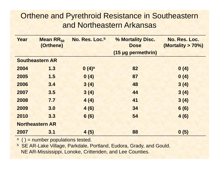#### Orthene and Pyrethroid Resistance in Southeastern and Northeastern Arkansas

| Year | Mean RR <sub>50</sub><br>(Orthene) | No. Res. Loc.b      | % Mortality Disc.<br><b>Dose</b> | No. Res. Loc.<br>(Mortality $> 70\%$ ) |
|------|------------------------------------|---------------------|----------------------------------|----------------------------------------|
|      |                                    |                     | (15 µg permethrin)               |                                        |
|      | <b>Southeastern AR</b>             |                     |                                  |                                        |
| 2004 | 1.3                                | $0(4)$ <sup>a</sup> | 82                               | 0(4)                                   |
| 2005 | 1.5                                | 0(4)                | 87                               | 0(4)                                   |
| 2006 | 3.4                                | 3(4)                | 48                               | 3(4)                                   |
| 2007 | 3.5                                | 3(4)                | 44                               | 3(4)                                   |
| 2008 | 7.7                                | 4(4)                | 41                               | 3(4)                                   |
| 2009 | 3.0                                | 4(6)                | 34                               | 6(6)                                   |
| 2010 | 3.3                                | 6(6)                | 54                               | 4(6)                                   |
|      | <b>Northeastern AR</b>             |                     |                                  |                                        |
| 2007 | 3.1                                | 4(5)                | 88                               | 0(5)                                   |

<sup>a</sup> ( ) = number populations tested.

b SE AR-Lake Village, Parkdale, Portland, Eudora, Grady, and Gould. NE AR-Mississippi, Lonoke, Crittenden, and Lee Counties.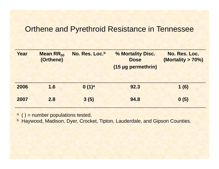#### Orthene and Pyrethroid Resistance in Tennessee

| Year | Mean RR <sub>50</sub><br>(Orthene) | No. Res. Loc.b    | % Mortality Disc.<br><b>Dose</b><br>(15 µg permethrin) | No. Res. Loc.<br>(Mortality > 70%) |
|------|------------------------------------|-------------------|--------------------------------------------------------|------------------------------------|
| 2006 | 1.6                                | 0(1) <sup>a</sup> | 92.3                                                   | 1(6)                               |
| 2007 | 2.8                                | 3(5)              | 94.8                                                   | 0(5)                               |

<sup>a</sup> ( ) = number populations tested.

b Haywood, Madison, Dyer, Crocket, Tipton, Lauderdale, and Gipson Counties.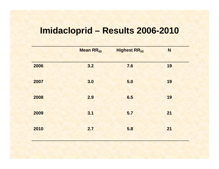#### **Imidacloprid – Results 2006-2010**

|      | <b>Mean RR<sub>50</sub></b> | <b>Highest RR<sub>50</sub></b> | N  |  |
|------|-----------------------------|--------------------------------|----|--|
| 2006 | 3.2                         | 7.6                            | 19 |  |
| 2007 | 3.0                         | 5.0                            | 19 |  |
| 2008 | 2.9                         | 6.5                            | 19 |  |
| 2009 | 3.1                         | 5.7                            | 21 |  |
| 2010 | 2.7                         | 5.8                            | 21 |  |
|      |                             |                                |    |  |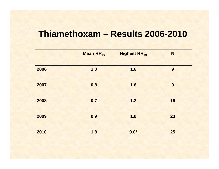# **Thiamethoxam – Results 2006-2010**<br>Mean RR<sub>50</sub> Highest RR<sub>50</sub>

|      | <b>Mean RR<sub>50</sub></b> | <b>Highest RR<sub>50</sub></b> | $\mathbf N$ |  |
|------|-----------------------------|--------------------------------|-------------|--|
| 2006 | 1.0                         | 1.6                            | 9           |  |
| 2007 | 0.8                         | 1.6                            | 9           |  |
| 2008 | 0.7                         | $1.2$                          | 19          |  |
| 2009 | 0.9                         | 1.8                            | 23          |  |
| 2010 | 1.8                         | $9.0*$                         | 25          |  |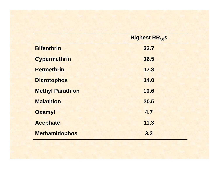|                         | <b>Highest RR<sub>50</sub>S</b> |
|-------------------------|---------------------------------|
| <b>Bifenthrin</b>       | 33.7                            |
| <b>Cypermethrin</b>     | 16.5                            |
| <b>Permethrin</b>       | 17.8                            |
| <b>Dicrotophos</b>      | 14.0                            |
| <b>Methyl Parathion</b> | 10.6                            |
| <b>Malathion</b>        | 30.5                            |
| Oxamyl                  | 4.7                             |
| <b>Acephate</b>         | 11.3                            |
| <b>Methamidophos</b>    | 3.2                             |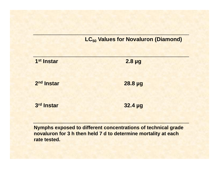#### **LC50 Values for Novaluron (Diamond)**

| 1 <sup>st</sup> Instar | $2.8 \mu g$ |
|------------------------|-------------|
| 2 <sup>nd</sup> Instar | 28.8 µg     |
| 3rd Instar             | 32.4 µg     |

**Nymphs exposed to different concentrations of technical grade novaluron for 3 h then held 7 d to determine mortality at each rate tested.**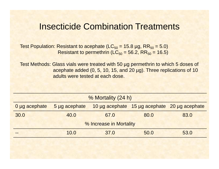#### Insecticide Combination Treatments

Test Population: Resistant to acephate (LC $_{50}$  = 15.8  $\mu$ g, RR $_{50}$  = 5.0) Resistant to permethrin (LC $_{\rm 50}$  = 56.2, RR $_{\rm 50}$  = 16.5)

Test Methods: Glass vials were treated with 50 µg permethrin to which 5 doses of acephate added (0, 5, 10, 15, and 20 µg). Three replications of 10 adults were tested at each dose.

| % Mortality (24 h)      |      |      |                                              |
|-------------------------|------|------|----------------------------------------------|
| 5 µg acephate           |      |      |                                              |
| 40.0                    | 67.0 | 80.0 | 83.0                                         |
| % Increase in Mortality |      |      |                                              |
| 10.0                    | 37.0 | 50.0 | 53.0                                         |
|                         |      |      | 10 µg acephate 15 µg acephate 20 µg acephate |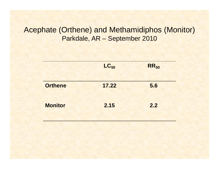#### Acephate (Orthene) and Methamidiphos (Monitor) Parkdale, AR – September 2010

|                | $LC_{50}$ | $RR_{50}$ |
|----------------|-----------|-----------|
| <b>Orthene</b> | 17.22     | 5.6       |
| <b>Monitor</b> | 2.15      | 2.2       |
|                |           |           |